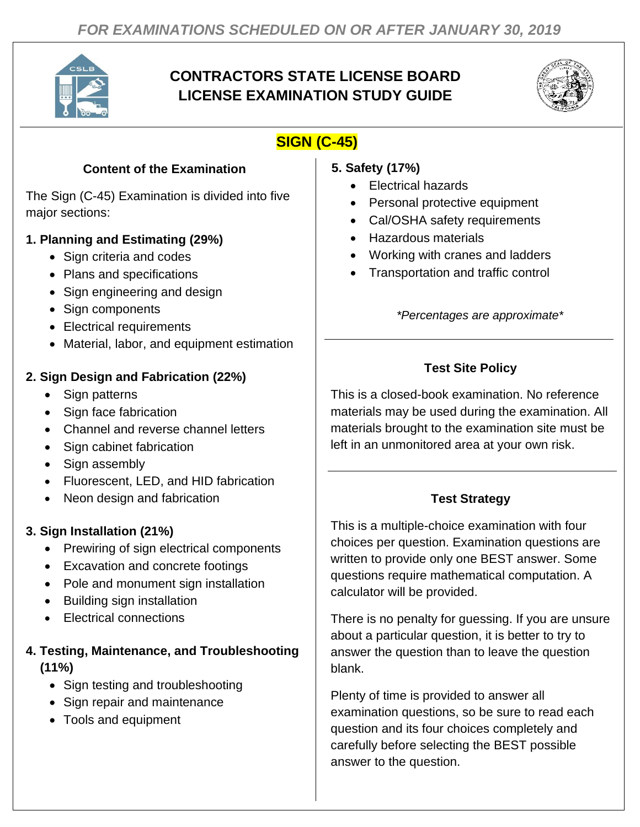

## **CONTRACTORS STATE LICENSE BOARD LICENSE EXAMINATION STUDY GUIDE**



# **SIGN (C-45)**

#### **Content of the Examination**

The Sign (C-45) Examination is divided into five major sections:

#### **1. Planning and Estimating (29%)**

- Sign criteria and codes
- Plans and specifications
- Sign engineering and design
- Sign components
- Electrical requirements
- Material, labor, and equipment estimation

#### **2. Sign Design and Fabrication (22%)**

- Sign patterns
- Sign face fabrication
- Channel and reverse channel letters
- Sign cabinet fabrication
- Sign assembly
- Fluorescent, LED, and HID fabrication
- Neon design and fabrication

### **3. Sign Installation (21%)**

- Prewiring of sign electrical components
- Excavation and concrete footings
- Pole and monument sign installation
- Building sign installation
- Electrical connections

#### **4. Testing, Maintenance, and Troubleshooting (11%)**

- Sign testing and troubleshooting
- Sign repair and maintenance
- Tools and equipment
- **5. Safety (17%)**
	- Electrical hazards
	- Personal protective equipment
	- Cal/OSHA safety requirements
	- Hazardous materials
	- Working with cranes and ladders
	- Transportation and traffic control

*\*Percentages are approximate\**

## **Test Site Policy**

This is a closed-book examination. No reference materials may be used during the examination. All materials brought to the examination site must be left in an unmonitored area at your own risk.

### **Test Strategy**

This is a multiple-choice examination with four choices per question. Examination questions are written to provide only one BEST answer. Some questions require mathematical computation. A calculator will be provided.

There is no penalty for guessing. If you are unsure about a particular question, it is better to try to answer the question than to leave the question blank.

Plenty of time is provided to answer all examination questions, so be sure to read each question and its four choices completely and carefully before selecting the BEST possible answer to the question.